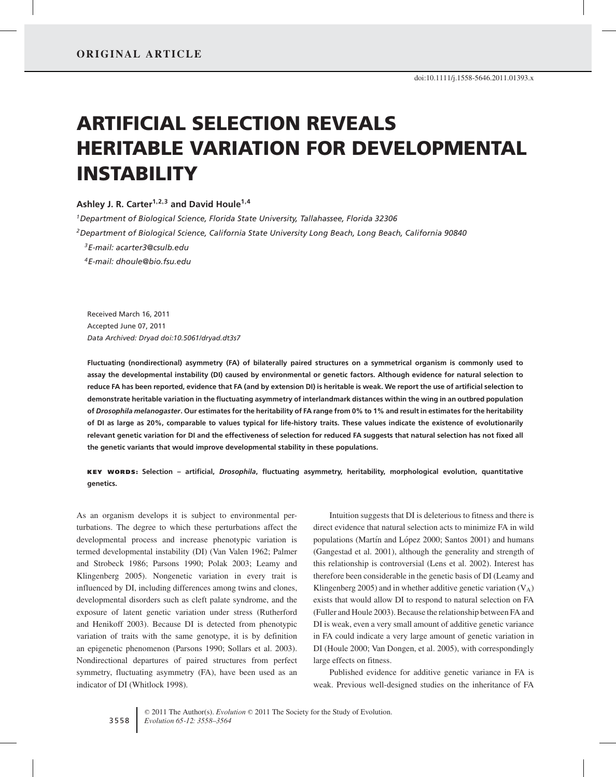# **ARTIFICIAL SELECTION REVEALS HERITABLE VARIATION FOR DEVELOPMENTAL INSTABILITY**

### **Ashley J. R. Carter1,2,<sup>3</sup> and David Houle1,<sup>4</sup>**

*1Department of Biological Science, Florida State University, Tallahassee, Florida 32306 2Department of Biological Science, California State University Long Beach, Long Beach, California 90840 3E-mail: acarter3@csulb.edu 4E-mail: dhoule@bio.fsu.edu*

Received March 16, 2011 Accepted June 07, 2011 *Data Archived: Dryad doi:10.5061/dryad.dt3s7*

**Fluctuating (nondirectional) asymmetry (FA) of bilaterally paired structures on a symmetrical organism is commonly used to assay the developmental instability (DI) caused by environmental or genetic factors. Although evidence for natural selection to reduce FA has been reported, evidence that FA (and by extension DI) is heritable is weak. We report the use of artificial selection to demonstrate heritable variation in the fluctuating asymmetry of interlandmark distances within the wing in an outbred population of** *Drosophila melanogaster***. Our estimates for the heritability of FA range from 0% to 1% and result in estimates for the heritability of DI as large as 20%, comparable to values typical for life-history traits. These values indicate the existence of evolutionarily relevant genetic variation for DI and the effectiveness of selection for reduced FA suggests that natural selection has not fixed all the genetic variants that would improve developmental stability in these populations.**

**KEY WORDS: Selection – artificial,** *Drosophila***, fluctuating asymmetry, heritability, morphological evolution, quantitative genetics.**

As an organism develops it is subject to environmental perturbations. The degree to which these perturbations affect the developmental process and increase phenotypic variation is termed developmental instability (DI) (Van Valen 1962; Palmer and Strobeck 1986; Parsons 1990; Polak 2003; Leamy and Klingenberg 2005). Nongenetic variation in every trait is influenced by DI, including differences among twins and clones, developmental disorders such as cleft palate syndrome, and the exposure of latent genetic variation under stress (Rutherford and Henikoff 2003). Because DI is detected from phenotypic variation of traits with the same genotype, it is by definition an epigenetic phenomenon (Parsons 1990; Sollars et al. 2003). Nondirectional departures of paired structures from perfect symmetry, fluctuating asymmetry (FA), have been used as an indicator of DI (Whitlock 1998).

Intuition suggests that DI is deleterious to fitness and there is direct evidence that natural selection acts to minimize FA in wild populations (Martín and López 2000; Santos 2001) and humans (Gangestad et al. 2001), although the generality and strength of this relationship is controversial (Lens et al. 2002). Interest has therefore been considerable in the genetic basis of DI (Leamy and Klingenberg 2005) and in whether additive genetic variation  $(V_A)$ exists that would allow DI to respond to natural selection on FA (Fuller and Houle 2003). Because the relationship between FA and DI is weak, even a very small amount of additive genetic variance in FA could indicate a very large amount of genetic variation in DI (Houle 2000; Van Dongen, et al. 2005), with correspondingly large effects on fitness.

Published evidence for additive genetic variance in FA is weak. Previous well-designed studies on the inheritance of FA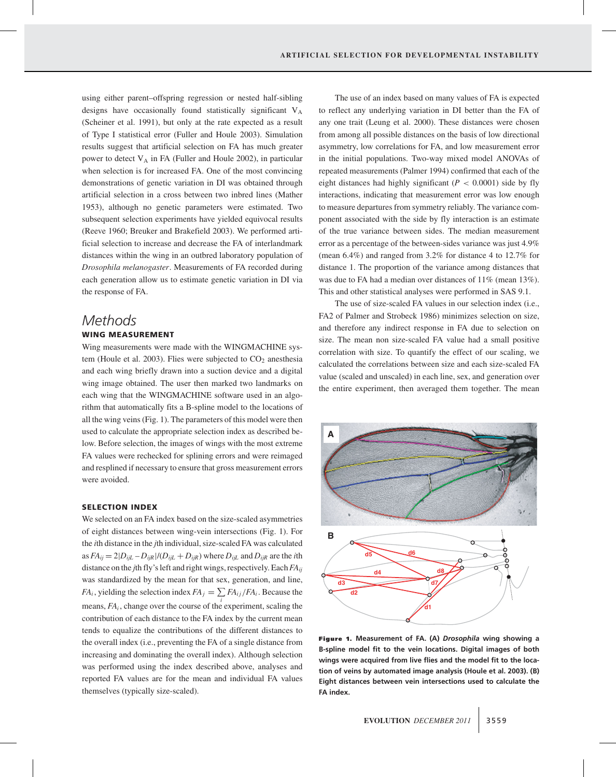using either parent–offspring regression or nested half-sibling designs have occasionally found statistically significant  $V_A$ (Scheiner et al. 1991), but only at the rate expected as a result of Type I statistical error (Fuller and Houle 2003). Simulation results suggest that artificial selection on FA has much greater power to detect  $V_A$  in FA (Fuller and Houle 2002), in particular when selection is for increased FA. One of the most convincing demonstrations of genetic variation in DI was obtained through artificial selection in a cross between two inbred lines (Mather 1953), although no genetic parameters were estimated. Two subsequent selection experiments have yielded equivocal results (Reeve 1960; Breuker and Brakefield 2003). We performed artificial selection to increase and decrease the FA of interlandmark distances within the wing in an outbred laboratory population of *Drosophila melanogaster*. Measurements of FA recorded during each generation allow us to estimate genetic variation in DI via the response of FA.

## *Methods* **WING MEASUREMENT**

Wing measurements were made with the WINGMACHINE system (Houle et al. 2003). Flies were subjected to  $CO<sub>2</sub>$  anesthesia and each wing briefly drawn into a suction device and a digital wing image obtained. The user then marked two landmarks on each wing that the WINGMACHINE software used in an algorithm that automatically fits a B-spline model to the locations of all the wing veins (Fig. 1). The parameters of this model were then used to calculate the appropriate selection index as described below. Before selection, the images of wings with the most extreme FA values were rechecked for splining errors and were reimaged and resplined if necessary to ensure that gross measurement errors were avoided.

#### **SELECTION INDEX**

We selected on an FA index based on the size-scaled asymmetries of eight distances between wing-vein intersections (Fig. 1). For the *i*th distance in the *j*th individual, size-scaled FA was calculated as  $FA_{ij} = 2|D_{ijL} - D_{ijR}|/(D_{ijL} + D_{ijR})$  where  $D_{ijL}$  and  $D_{ijR}$  are the *i*th distance on the *j*th fly's left and right wings, respectively. Each *FAij* was standardized by the mean for that sex, generation, and line,  $FA_i$ , yielding the selection index  $FA_j = \sum FA_{ij}/FA_i$ . Because the means,  $FA_i$ , change over the course of the experiment, scaling the contribution of each distance to the FA index by the current mean tends to equalize the contributions of the different distances to the overall index (i.e., preventing the FA of a single distance from increasing and dominating the overall index). Although selection was performed using the index described above, analyses and reported FA values are for the mean and individual FA values themselves (typically size-scaled).

The use of an index based on many values of FA is expected to reflect any underlying variation in DI better than the FA of any one trait (Leung et al. 2000). These distances were chosen from among all possible distances on the basis of low directional asymmetry, low correlations for FA, and low measurement error in the initial populations. Two-way mixed model ANOVAs of repeated measurements (Palmer 1994) confirmed that each of the eight distances had highly significant ( $P < 0.0001$ ) side by fly interactions, indicating that measurement error was low enough to measure departures from symmetry reliably. The variance component associated with the side by fly interaction is an estimate of the true variance between sides. The median measurement error as a percentage of the between-sides variance was just 4.9% (mean 6.4%) and ranged from 3.2% for distance 4 to 12.7% for distance 1. The proportion of the variance among distances that was due to FA had a median over distances of 11% (mean 13%). This and other statistical analyses were performed in SAS 9.1.

The use of size-scaled FA values in our selection index (i.e., FA2 of Palmer and Strobeck 1986) minimizes selection on size, and therefore any indirect response in FA due to selection on size. The mean non size-scaled FA value had a small positive correlation with size. To quantify the effect of our scaling, we calculated the correlations between size and each size-scaled FA value (scaled and unscaled) in each line, sex, and generation over the entire experiment, then averaged them together. The mean



**Figure 1. Measurement of FA. (A)** *Drosophila* **wing showing a B-spline model fit to the vein locations. Digital images of both wings were acquired from live flies and the model fit to the location of veins by automated image analysis (Houle et al. 2003). (B) Eight distances between vein intersections used to calculate the FA index.**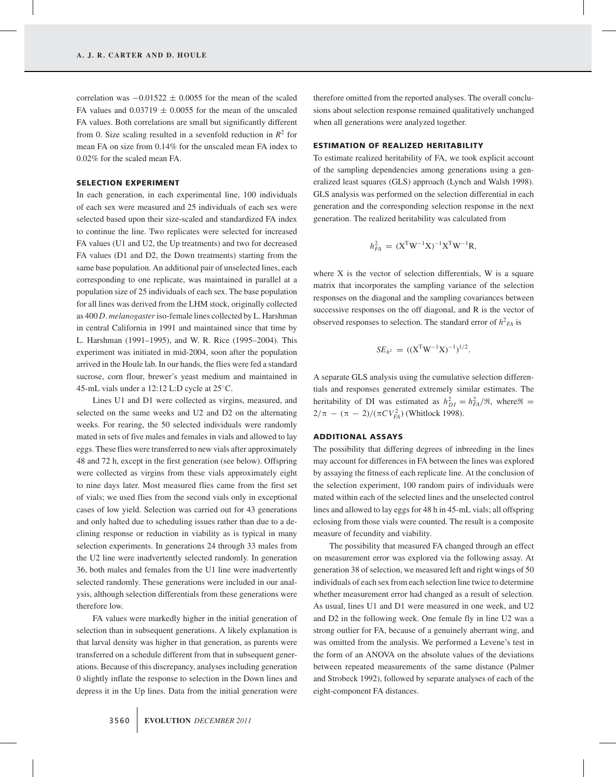correlation was  $-0.01522 \pm 0.0055$  for the mean of the scaled FA values and  $0.03719 \pm 0.0055$  for the mean of the unscaled FA values. Both correlations are small but significantly different from 0. Size scaling resulted in a sevenfold reduction in  $R^2$  for mean FA on size from 0.14% for the unscaled mean FA index to 0.02% for the scaled mean FA.

#### **SELECTION EXPERIMENT**

In each generation, in each experimental line, 100 individuals of each sex were measured and 25 individuals of each sex were selected based upon their size-scaled and standardized FA index to continue the line. Two replicates were selected for increased FA values (U1 and U2, the Up treatments) and two for decreased FA values (D1 and D2, the Down treatments) starting from the same base population. An additional pair of unselected lines, each corresponding to one replicate, was maintained in parallel at a population size of 25 individuals of each sex. The base population for all lines was derived from the LHM stock, originally collected as 400 *D. melanogaster*iso-female lines collected by L. Harshman in central California in 1991 and maintained since that time by L. Harshman (1991–1995), and W. R. Rice (1995–2004). This experiment was initiated in mid-2004, soon after the population arrived in the Houle lab. In our hands, the flies were fed a standard sucrose, corn flour, brewer's yeast medium and maintained in 45-mL vials under a 12:12 L:D cycle at 25◦C.

Lines U1 and D1 were collected as virgins, measured, and selected on the same weeks and U2 and D2 on the alternating weeks. For rearing, the 50 selected individuals were randomly mated in sets of five males and females in vials and allowed to lay eggs. These flies were transferred to new vials after approximately 48 and 72 h, except in the first generation (see below). Offspring were collected as virgins from these vials approximately eight to nine days later. Most measured flies came from the first set of vials; we used flies from the second vials only in exceptional cases of low yield. Selection was carried out for 43 generations and only halted due to scheduling issues rather than due to a declining response or reduction in viability as is typical in many selection experiments. In generations 24 through 33 males from the U2 line were inadvertently selected randomly. In generation 36, both males and females from the U1 line were inadvertently selected randomly. These generations were included in our analysis, although selection differentials from these generations were therefore low.

FA values were markedly higher in the initial generation of selection than in subsequent generations. A likely explanation is that larval density was higher in that generation, as parents were transferred on a schedule different from that in subsequent generations. Because of this discrepancy, analyses including generation 0 slightly inflate the response to selection in the Down lines and depress it in the Up lines. Data from the initial generation were therefore omitted from the reported analyses. The overall conclusions about selection response remained qualitatively unchanged when all generations were analyzed together.

#### **ESTIMATION OF REALIZED HERITABILITY**

To estimate realized heritability of FA, we took explicit account of the sampling dependencies among generations using a generalized least squares (GLS) approach (Lynch and Walsh 1998). GLS analysis was performed on the selection differential in each generation and the corresponding selection response in the next generation. The realized heritability was calculated from

$$
h_{FA}^2 = (X^T W^{-1} X)^{-1} X^T W^{-1} R,
$$

where  $X$  is the vector of selection differentials,  $W$  is a square matrix that incorporates the sampling variance of the selection responses on the diagonal and the sampling covariances between successive responses on the off diagonal, and R is the vector of observed responses to selection. The standard error of  $h^2_{FA}$  is

$$
SE_{h^2} = ((X^TW^{-1}X)^{-1})^{1/2}.
$$

A separate GLS analysis using the cumulative selection differentials and responses generated extremely similar estimates. The heritability of DI was estimated as  $h_{DI}^2 = h_{FA}^2 / \Re$ , where  $\Re$  $2/\pi - (\pi - 2)/(\pi C V_{FA}^2)$  (Whitlock 1998).

#### **ADDITIONAL ASSAYS**

The possibility that differing degrees of inbreeding in the lines may account for differences in FA between the lines was explored by assaying the fitness of each replicate line. At the conclusion of the selection experiment, 100 random pairs of individuals were mated within each of the selected lines and the unselected control lines and allowed to lay eggs for 48 h in 45-mL vials; all offspring eclosing from those vials were counted. The result is a composite measure of fecundity and viability.

The possibility that measured FA changed through an effect on measurement error was explored via the following assay. At generation 38 of selection, we measured left and right wings of 50 individuals of each sex from each selection line twice to determine whether measurement error had changed as a result of selection. As usual, lines U1 and D1 were measured in one week, and U2 and D2 in the following week. One female fly in line U2 was a strong outlier for FA, because of a genuinely aberrant wing, and was omitted from the analysis. We performed a Levene's test in the form of an ANOVA on the absolute values of the deviations between repeated measurements of the same distance (Palmer and Strobeck 1992), followed by separate analyses of each of the eight-component FA distances.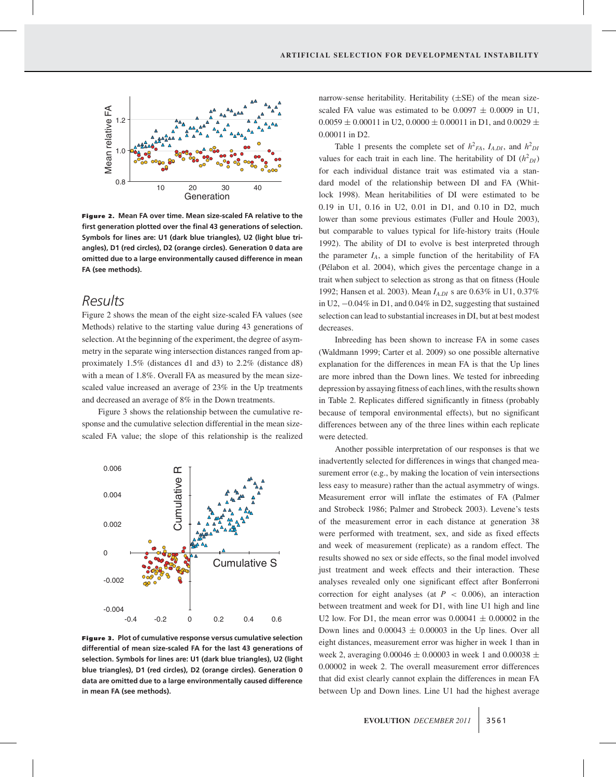

**Figure 2. Mean FA over time. Mean size-scaled FA relative to the first generation plotted over the final 43 generations of selection. Symbols for lines are: U1 (dark blue triangles), U2 (light blue triangles), D1 (red circles), D2 (orange circles). Generation 0 data are omitted due to a large environmentally caused difference in mean FA (see methods).**

## *Results*

Figure 2 shows the mean of the eight size-scaled FA values (see Methods) relative to the starting value during 43 generations of selection. At the beginning of the experiment, the degree of asymmetry in the separate wing intersection distances ranged from approximately 1.5% (distances d1 and d3) to 2.2% (distance d8) with a mean of 1.8%. Overall FA as measured by the mean sizescaled value increased an average of 23% in the Up treatments and decreased an average of 8% in the Down treatments.

Figure 3 shows the relationship between the cumulative response and the cumulative selection differential in the mean sizescaled FA value; the slope of this relationship is the realized



**Figure 3. Plot of cumulative response versus cumulative selection differential of mean size-scaled FA for the last 43 generations of selection. Symbols for lines are: U1 (dark blue triangles), U2 (light blue triangles), D1 (red circles), D2 (orange circles). Generation 0 data are omitted due to a large environmentally caused difference in mean FA (see methods).**

narrow-sense heritability. Heritability  $(\pm SE)$  of the mean sizescaled FA value was estimated to be  $0.0097 \pm 0.0009$  in U1,  $0.0059 \pm 0.00011$  in U2,  $0.0000 \pm 0.00011$  in D1, and  $0.0029 \pm 0.00011$ 0.00011 in D2.

Table 1 presents the complete set of  $h^2_{FA}$ ,  $I_{A,DI}$ , and  $h^2_{DI}$ values for each trait in each line. The heritability of DI  $(h^2_{DI})$ for each individual distance trait was estimated via a standard model of the relationship between DI and FA (Whitlock 1998). Mean heritabilities of DI were estimated to be 0.19 in U1, 0.16 in U2, 0.01 in D1, and 0.10 in D2, much lower than some previous estimates (Fuller and Houle 2003), but comparable to values typical for life-history traits (Houle 1992). The ability of DI to evolve is best interpreted through the parameter  $I_A$ , a simple function of the heritability of FA (Pelabon et al. 2004), which gives the percentage change in a ´ trait when subject to selection as strong as that on fitness (Houle 1992; Hansen et al. 2003). Mean *IA*.*DI* s are 0.63% in U1, 0.37% in U2, −0.04% in D1, and 0.04% in D2, suggesting that sustained selection can lead to substantial increases in DI, but at best modest decreases.

Inbreeding has been shown to increase FA in some cases (Waldmann 1999; Carter et al. 2009) so one possible alternative explanation for the differences in mean FA is that the Up lines are more inbred than the Down lines. We tested for inbreeding depression by assaying fitness of each lines, with the results shown in Table 2. Replicates differed significantly in fitness (probably because of temporal environmental effects), but no significant differences between any of the three lines within each replicate were detected.

Another possible interpretation of our responses is that we inadvertently selected for differences in wings that changed measurement error (e.g., by making the location of vein intersections less easy to measure) rather than the actual asymmetry of wings. Measurement error will inflate the estimates of FA (Palmer and Strobeck 1986; Palmer and Strobeck 2003). Levene's tests of the measurement error in each distance at generation 38 were performed with treatment, sex, and side as fixed effects and week of measurement (replicate) as a random effect. The results showed no sex or side effects, so the final model involved just treatment and week effects and their interaction. These analyses revealed only one significant effect after Bonferroni correction for eight analyses (at  $P < 0.006$ ), an interaction between treatment and week for D1, with line U1 high and line U2 low. For D1, the mean error was  $0.00041 \pm 0.00002$  in the Down lines and  $0.00043 \pm 0.00003$  in the Up lines. Over all eight distances, measurement error was higher in week 1 than in week 2, averaging  $0.00046 \pm 0.00003$  in week 1 and  $0.00038 \pm 0.00038$ 0.00002 in week 2. The overall measurement error differences that did exist clearly cannot explain the differences in mean FA between Up and Down lines. Line U1 had the highest average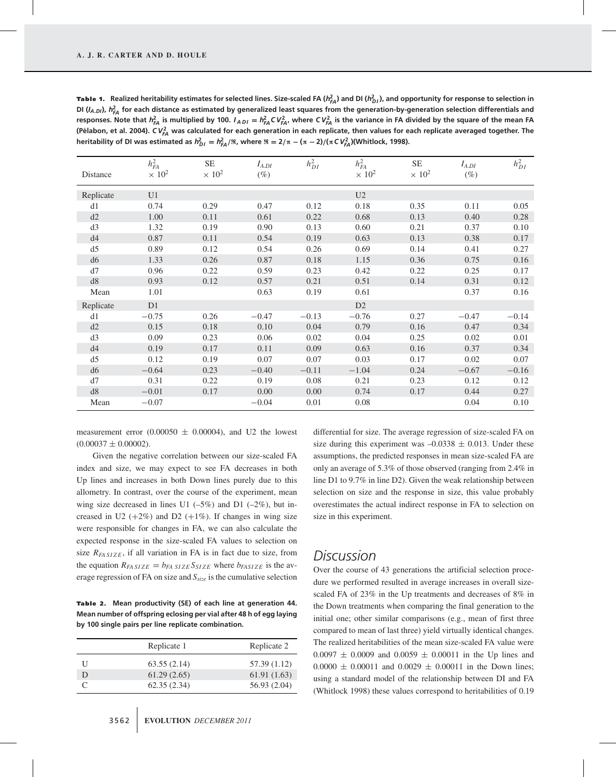**Table 1.** Realized heritability estimates for selected lines. Size-scaled FA ( $h^2_{FA}$ ) and DI ( $h^2_{DI}$ ), and opportunity for response to selection in DI (*I<sub>A.DI</sub>), h<sub>FA</sub> for each distance as estimated by generalized least squares from the generation-by-generation selection differentials and* responses. Note that  $h_{FA}^2$  is multiplied by 100.  $I_{ADI} = h_{FA}^2$ CV $_{FA}^2$ , where CV $_{FA}^2$  is the variance in FA divided by the square of the mean FA **(Pelabon, et al. 2004). ´** *C V***<sup>2</sup>** *FA* **was calculated for each generation in each replicate, then values for each replicate averaged together. The** heritability of DI was estimated as  $h_{D I}^2 = h_{FA}^2/\Re$ , where  $\Re = 2/\pi - (\pi - 2)/(\pi C V_{FA}^2)$ (Whitlock, 1998).

| Distance       | $h_{FA}^2$<br>$\times$ 10 <sup>2</sup> | <b>SE</b><br>$\times 10^2$ | $I_{A,DI}$<br>$(\%)$ | $h_{DI}^2$ | $h_{FA}^2$<br>$\times 10^2$ | $\rm SE$<br>$\times 10^2$ | $I_{A,DI}$<br>$(\%)$ | $h_{DI}^2$ |
|----------------|----------------------------------------|----------------------------|----------------------|------------|-----------------------------|---------------------------|----------------------|------------|
| Replicate      | U <sub>1</sub>                         |                            |                      |            | U <sub>2</sub>              |                           |                      |            |
| d1             | 0.74                                   | 0.29                       | 0.47                 | 0.12       | 0.18                        | 0.35                      | 0.11                 | 0.05       |
| d2             | 1.00                                   | 0.11                       | 0.61                 | 0.22       | 0.68                        | 0.13                      | 0.40                 | 0.28       |
| d3             | 1.32                                   | 0.19                       | 0.90                 | 0.13       | 0.60                        | 0.21                      | 0.37                 | 0.10       |
| d4             | 0.87                                   | 0.11                       | 0.54                 | 0.19       | 0.63                        | 0.13                      | 0.38                 | 0.17       |
| d <sub>5</sub> | 0.89                                   | 0.12                       | 0.54                 | 0.26       | 0.69                        | 0.14                      | 0.41                 | 0.27       |
| d6             | 1.33                                   | 0.26                       | 0.87                 | 0.18       | 1.15                        | 0.36                      | 0.75                 | 0.16       |
| d7             | 0.96                                   | 0.22                       | 0.59                 | 0.23       | 0.42                        | 0.22                      | 0.25                 | 0.17       |
| d8             | 0.93                                   | 0.12                       | 0.57                 | 0.21       | 0.51                        | 0.14                      | 0.31                 | 0.12       |
| Mean           | 1.01                                   |                            | 0.63                 | 0.19       | 0.61                        |                           | 0.37                 | 0.16       |
| Replicate      | D1                                     |                            |                      |            | D2                          |                           |                      |            |
| d1             | $-0.75$                                | 0.26                       | $-0.47$              | $-0.13$    | $-0.76$                     | 0.27                      | $-0.47$              | $-0.14$    |
| d2             | 0.15                                   | 0.18                       | 0.10                 | 0.04       | 0.79                        | 0.16                      | 0.47                 | 0.34       |
| d3             | 0.09                                   | 0.23                       | 0.06                 | 0.02       | 0.04                        | 0.25                      | 0.02                 | 0.01       |
| d4             | 0.19                                   | 0.17                       | 0.11                 | 0.09       | 0.63                        | 0.16                      | 0.37                 | 0.34       |
| d <sub>5</sub> | 0.12                                   | 0.19                       | 0.07                 | 0.07       | 0.03                        | 0.17                      | 0.02                 | 0.07       |
| d6             | $-0.64$                                | 0.23                       | $-0.40$              | $-0.11$    | $-1.04$                     | 0.24                      | $-0.67$              | $-0.16$    |
| d7             | 0.31                                   | 0.22                       | 0.19                 | 0.08       | 0.21                        | 0.23                      | 0.12                 | 0.12       |
| d8             | $-0.01$                                | 0.17                       | 0.00                 | 0.00       | 0.74                        | 0.17                      | 0.44                 | 0.27       |
| Mean           | $-0.07$                                |                            | $-0.04$              | 0.01       | 0.08                        |                           | 0.04                 | 0.10       |

measurement error  $(0.00050 \pm 0.00004)$ , and U2 the lowest  $(0.00037 \pm 0.00002)$ .

Given the negative correlation between our size-scaled FA index and size, we may expect to see FA decreases in both Up lines and increases in both Down lines purely due to this allometry. In contrast, over the course of the experiment, mean wing size decreased in lines U1  $(-5%)$  and D1  $(-2%)$ , but increased in U2  $(+2\%)$  and D2  $(+1\%)$ . If changes in wing size were responsible for changes in FA, we can also calculate the expected response in the size-scaled FA values to selection on size  $R_{FASIZE}$ , if all variation in FA is in fact due to size, from the equation  $R_{FA\,SIZE} = b_{FA\,SIZE} S_{SIZE}$  where  $b_{FASIZE}$  is the average regression of FA on size and *Ssize* is the cumulative selection

Table 2. Mean productivity (SE) of each line at generation 44. **Mean number of offspring eclosing per vial after 48 h of egg laying by 100 single pairs per line replicate combination.**

|   | Replicate 1 | Replicate 2  |
|---|-------------|--------------|
| U | 63.55(2.14) | 57.39 (1.12) |
| D | 61.29(2.65) | 61.91(1.63)  |
|   | 62.35(2.34) | 56.93 (2.04) |

differential for size. The average regression of size-scaled FA on size during this experiment was  $-0.0338 \pm 0.013$ . Under these assumptions, the predicted responses in mean size-scaled FA are only an average of 5.3% of those observed (ranging from 2.4% in line D1 to 9.7% in line D2). Given the weak relationship between selection on size and the response in size, this value probably overestimates the actual indirect response in FA to selection on size in this experiment.

## *Discussion*

Over the course of 43 generations the artificial selection procedure we performed resulted in average increases in overall sizescaled FA of 23% in the Up treatments and decreases of 8% in the Down treatments when comparing the final generation to the initial one; other similar comparisons (e.g., mean of first three compared to mean of last three) yield virtually identical changes. The realized heritabilities of the mean size-scaled FA value were  $0.0097 \pm 0.0009$  and  $0.0059 \pm 0.00011$  in the Up lines and  $0.0000 \pm 0.00011$  and  $0.0029 \pm 0.00011$  in the Down lines; using a standard model of the relationship between DI and FA (Whitlock 1998) these values correspond to heritabilities of 0.19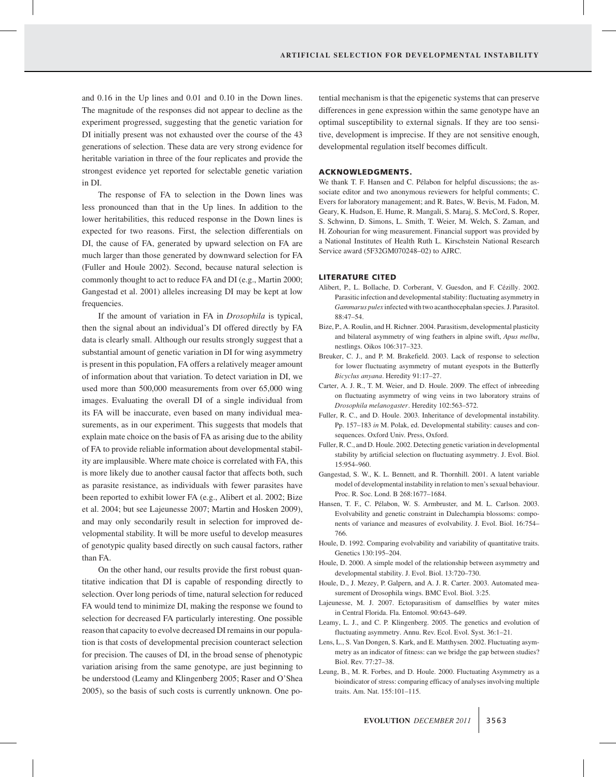and 0.16 in the Up lines and 0.01 and 0.10 in the Down lines. The magnitude of the responses did not appear to decline as the experiment progressed, suggesting that the genetic variation for DI initially present was not exhausted over the course of the 43 generations of selection. These data are very strong evidence for heritable variation in three of the four replicates and provide the strongest evidence yet reported for selectable genetic variation in DI.

The response of FA to selection in the Down lines was less pronounced than that in the Up lines. In addition to the lower heritabilities, this reduced response in the Down lines is expected for two reasons. First, the selection differentials on DI, the cause of FA, generated by upward selection on FA are much larger than those generated by downward selection for FA (Fuller and Houle 2002). Second, because natural selection is commonly thought to act to reduce FA and DI (e.g., Martin 2000; Gangestad et al. 2001) alleles increasing DI may be kept at low frequencies.

If the amount of variation in FA in *Drosophila* is typical, then the signal about an individual's DI offered directly by FA data is clearly small. Although our results strongly suggest that a substantial amount of genetic variation in DI for wing asymmetry is present in this population, FA offers a relatively meager amount of information about that variation. To detect variation in DI, we used more than 500,000 measurements from over 65,000 wing images. Evaluating the overall DI of a single individual from its FA will be inaccurate, even based on many individual measurements, as in our experiment. This suggests that models that explain mate choice on the basis of FA as arising due to the ability of FA to provide reliable information about developmental stability are implausible. Where mate choice is correlated with FA, this is more likely due to another causal factor that affects both, such as parasite resistance, as individuals with fewer parasites have been reported to exhibit lower FA (e.g., Alibert et al. 2002; Bize et al. 2004; but see Lajeunesse 2007; Martin and Hosken 2009), and may only secondarily result in selection for improved developmental stability. It will be more useful to develop measures of genotypic quality based directly on such causal factors, rather than FA.

On the other hand, our results provide the first robust quantitative indication that DI is capable of responding directly to selection. Over long periods of time, natural selection for reduced FA would tend to minimize DI, making the response we found to selection for decreased FA particularly interesting. One possible reason that capacity to evolve decreased DI remains in our population is that costs of developmental precision counteract selection for precision. The causes of DI, in the broad sense of phenotypic variation arising from the same genotype, are just beginning to be understood (Leamy and Klingenberg 2005; Raser and O'Shea 2005), so the basis of such costs is currently unknown. One potential mechanism is that the epigenetic systems that can preserve differences in gene expression within the same genotype have an optimal susceptibility to external signals. If they are too sensitive, development is imprecise. If they are not sensitive enough, developmental regulation itself becomes difficult.

#### **ACKNOWLEDGMENTS.**

We thank T. F. Hansen and C. Pélabon for helpful discussions; the associate editor and two anonymous reviewers for helpful comments; C. Evers for laboratory management; and R. Bates, W. Bevis, M. Fadon, M. Geary, K. Hudson, E. Hume, R. Mangali, S. Maraj, S. McCord, S. Roper, S. Schwinn, D. Simons, L. Smith, T. Weier, M. Welch, S. Zaman, and H. Zohourian for wing measurement. Financial support was provided by a National Institutes of Health Ruth L. Kirschstein National Research Service award (5F32GM070248–02) to AJRC.

#### **LITERATURE CITED**

- Alibert, P., L. Bollache, D. Corberant, V. Guesdon, and F. Cézilly. 2002. Parasitic infection and developmental stability: fluctuating asymmetry in *Gammarus pulex* infected with two acanthocephalan species. J. Parasitol. 88:47–54.
- Bize, P., A. Roulin, and H. Richner. 2004. Parasitism, developmental plasticity and bilateral asymmetry of wing feathers in alpine swift, *Apus melba*, nestlings. Oikos 106:317–323.
- Breuker, C. J., and P. M. Brakefield. 2003. Lack of response to selection for lower fluctuating asymmetry of mutant eyespots in the Butterfly *Bicyclus anyana*. Heredity 91:17–27.
- Carter, A. J. R., T. M. Weier, and D. Houle. 2009. The effect of inbreeding on fluctuating asymmetry of wing veins in two laboratory strains of *Drosophila melanogaster*. Heredity 102:563–572.
- Fuller, R. C., and D. Houle. 2003. Inheritance of developmental instability. Pp. 157–183 *in* M. Polak, ed. Developmental stability: causes and consequences. Oxford Univ. Press, Oxford.
- Fuller, R. C., and D. Houle. 2002. Detecting genetic variation in developmental stability by artificial selection on fluctuating asymmetry. J. Evol. Biol. 15:954–960.
- Gangestad, S. W., K. L. Bennett, and R. Thornhill. 2001. A latent variable model of developmental instability in relation to men's sexual behaviour. Proc. R. Soc. Lond. B 268:1677–1684.
- Hansen, T. F., C. Pélabon, W. S. Armbruster, and M. L. Carlson. 2003. Evolvability and genetic constraint in Dalechampia blossoms: components of variance and measures of evolvability. J. Evol. Biol. 16:754– 766.
- Houle, D. 1992. Comparing evolvability and variability of quantitative traits. Genetics 130:195–204.
- Houle, D. 2000. A simple model of the relationship between asymmetry and developmental stability. J. Evol. Biol. 13:720–730.
- Houle, D., J. Mezey, P. Galpern, and A. J. R. Carter. 2003. Automated measurement of Drosophila wings. BMC Evol. Biol. 3:25.
- Lajeunesse, M. J. 2007. Ectoparasitism of damselflies by water mites in Central Florida. Fla. Entomol. 90:643–649.
- Leamy, L. J., and C. P. Klingenberg. 2005. The genetics and evolution of fluctuating asymmetry. Annu. Rev. Ecol. Evol. Syst. 36:1–21.
- Lens, L., S. Van Dongen, S. Kark, and E. Matthysen. 2002. Fluctuating asymmetry as an indicator of fitness: can we bridge the gap between studies? Biol. Rev. 77:27–38.
- Leung, B., M. R. Forbes, and D. Houle. 2000. Fluctuating Asymmetry as a bioindicator of stress: comparing efficacy of analyses involving multiple traits. Am. Nat. 155:101–115.